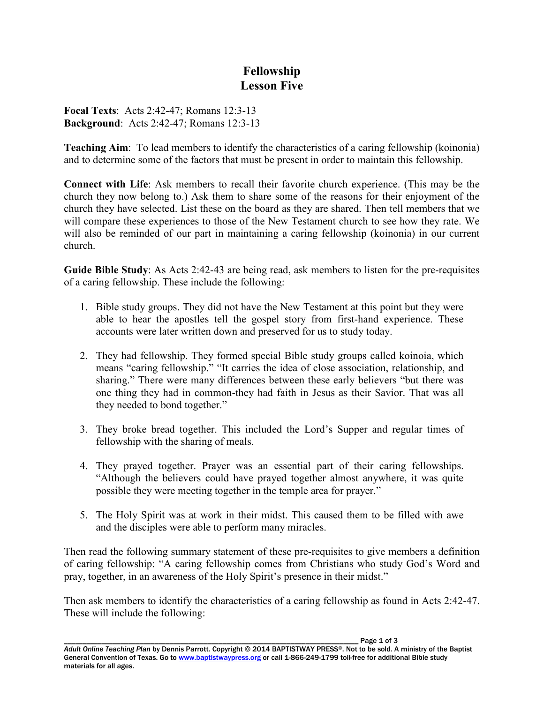## **Fellowship Lesson Five**

**Focal Texts**: Acts 2:42-47; Romans 12:3-13 **Background**: Acts 2:42-47; Romans 12:3-13

**Teaching Aim**: To lead members to identify the characteristics of a caring fellowship (koinonia) and to determine some of the factors that must be present in order to maintain this fellowship.

**Connect with Life**: Ask members to recall their favorite church experience. (This may be the church they now belong to.) Ask them to share some of the reasons for their enjoyment of the church they have selected. List these on the board as they are shared. Then tell members that we will compare these experiences to those of the New Testament church to see how they rate. We will also be reminded of our part in maintaining a caring fellowship (koinonia) in our current church.

**Guide Bible Study**: As Acts 2:42-43 are being read, ask members to listen for the pre-requisites of a caring fellowship. These include the following:

- 1. Bible study groups. They did not have the New Testament at this point but they were able to hear the apostles tell the gospel story from first-hand experience. These accounts were later written down and preserved for us to study today.
- 2. They had fellowship. They formed special Bible study groups called koinoia, which means "caring fellowship." "It carries the idea of close association, relationship, and sharing." There were many differences between these early believers "but there was one thing they had in common-they had faith in Jesus as their Savior. That was all they needed to bond together."
- 3. They broke bread together. This included the Lord's Supper and regular times of fellowship with the sharing of meals.
- 4. They prayed together. Prayer was an essential part of their caring fellowships. "Although the believers could have prayed together almost anywhere, it was quite possible they were meeting together in the temple area for prayer."
- 5. The Holy Spirit was at work in their midst. This caused them to be filled with awe and the disciples were able to perform many miracles.

Then read the following summary statement of these pre-requisites to give members a definition of caring fellowship: "A caring fellowship comes from Christians who study God's Word and pray, together, in an awareness of the Holy Spirit's presence in their midst."

Then ask members to identify the characteristics of a caring fellowship as found in Acts 2:42-47. These will include the following: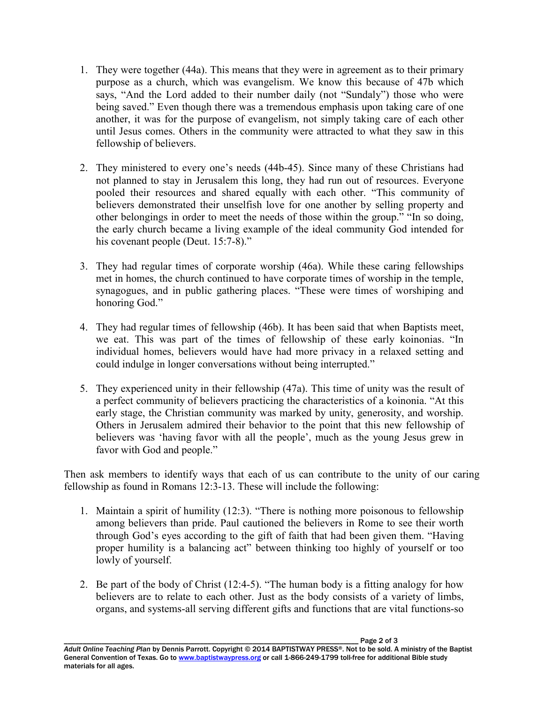- 1. They were together (44a). This means that they were in agreement as to their primary purpose as a church, which was evangelism. We know this because of 47b which says, "And the Lord added to their number daily (not "Sundaly") those who were being saved." Even though there was a tremendous emphasis upon taking care of one another, it was for the purpose of evangelism, not simply taking care of each other until Jesus comes. Others in the community were attracted to what they saw in this fellowship of believers.
- 2. They ministered to every one's needs (44b-45). Since many of these Christians had not planned to stay in Jerusalem this long, they had run out of resources. Everyone pooled their resources and shared equally with each other. "This community of believers demonstrated their unselfish love for one another by selling property and other belongings in order to meet the needs of those within the group." "In so doing, the early church became a living example of the ideal community God intended for his covenant people (Deut. 15:7-8)."
- 3. They had regular times of corporate worship (46a). While these caring fellowships met in homes, the church continued to have corporate times of worship in the temple, synagogues, and in public gathering places. "These were times of worshiping and honoring God."
- 4. They had regular times of fellowship (46b). It has been said that when Baptists meet, we eat. This was part of the times of fellowship of these early koinonias. "In individual homes, believers would have had more privacy in a relaxed setting and could indulge in longer conversations without being interrupted."
- 5. They experienced unity in their fellowship (47a). This time of unity was the result of a perfect community of believers practicing the characteristics of a koinonia. "At this early stage, the Christian community was marked by unity, generosity, and worship. Others in Jerusalem admired their behavior to the point that this new fellowship of believers was 'having favor with all the people', much as the young Jesus grew in favor with God and people."

Then ask members to identify ways that each of us can contribute to the unity of our caring fellowship as found in Romans 12:3-13. These will include the following:

- 1. Maintain a spirit of humility (12:3). "There is nothing more poisonous to fellowship among believers than pride. Paul cautioned the believers in Rome to see their worth through God's eyes according to the gift of faith that had been given them. "Having proper humility is a balancing act" between thinking too highly of yourself or too lowly of yourself.
- 2. Be part of the body of Christ (12:4-5). "The human body is a fitting analogy for how believers are to relate to each other. Just as the body consists of a variety of limbs, organs, and systems-all serving different gifts and functions that are vital functions-so

Page 2 of 3 *Adult Online Teaching Plan* by Dennis Parrott. Copyright © 2014 BAPTISTWAY PRESS®. Not to be sold. A ministry of the Baptist General Convention of Texas. Go to www.baptistwaypress.org or call 1-866-249-1799 toll-free for additional Bible study materials for all ages.